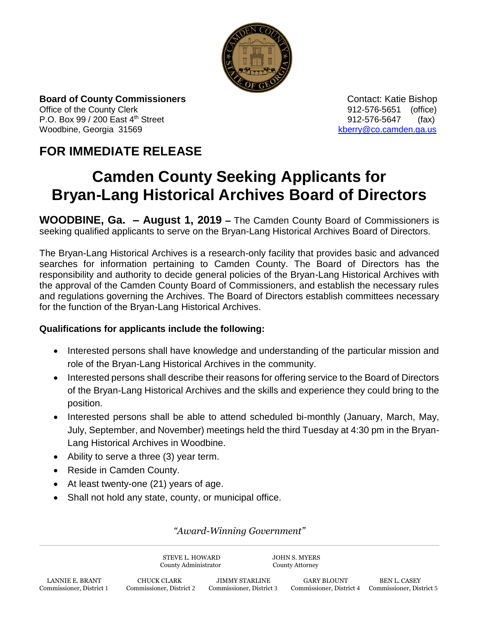

**Board of County Commissioners Contact: Katie Bishop** Contact: Katie Bishop Office of the County Clerk 61 and 2012-576-5651 (office) P.O. Box 99 / 200 East 4<sup>th</sup> Street 912-576-5647 (fax) Woodbine, Georgia 31569 [kberry@co.camden.ga.us](mailto:kberry@co.camden.ga.us)

## **FOR IMMEDIATE RELEASE**

## **Camden County Seeking Applicants for Bryan-Lang Historical Archives Board of Directors**

**WOODBINE, Ga. – August 1, 2019 –** The Camden County Board of Commissioners is seeking qualified applicants to serve on the Bryan-Lang Historical Archives Board of Directors.

The Bryan-Lang Historical Archives is a research-only facility that provides basic and advanced searches for information pertaining to Camden County. The Board of Directors has the responsibility and authority to decide general policies of the Bryan-Lang Historical Archives with the approval of the Camden County Board of Commissioners, and establish the necessary rules and regulations governing the Archives. The Board of Directors establish committees necessary for the function of the Bryan-Lang Historical Archives.

## **Qualifications for applicants include the following:**

- Interested persons shall have knowledge and understanding of the particular mission and role of the Bryan-Lang Historical Archives in the community.
- Interested persons shall describe their reasons for offering service to the Board of Directors of the Bryan-Lang Historical Archives and the skills and experience they could bring to the position.
- Interested persons shall be able to attend scheduled bi-monthly (January, March, May, July, September, and November) meetings held the third Tuesday at 4:30 pm in the Bryan-Lang Historical Archives in Woodbine.
- Ability to serve a three (3) year term.
- Reside in Camden County.
- At least twenty-one (21) years of age.
- Shall not hold any state, county, or municipal office.

*"Award-Winning Government"*

STEVE L. HOWARD JOHN S. MYERS County Administrator County Attorney